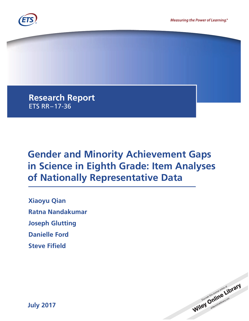

**Research Report** ETS RR–17-36

# **Gender and Minority Achievement Gaps in Science in Eighth Grade: Item Analyses of Nationally Representative Data**

**Xiaoyu Qian Ratna Nandakumar Joseph Glutting Danielle Ford Steve Fifield**



**July 2017**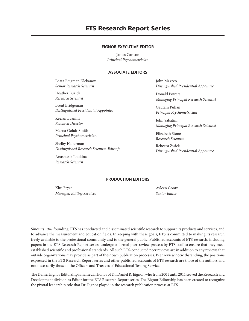## **ETS Research Report Series**

#### **EIGNOR EXECUTIVE EDITOR**

James Carlson *Principal Psychometrician*

#### **ASSOCIATE EDITORS**

Beata Beigman Klebanov *Senior Research Scientist*

Heather Buzick *Research Scientist*

Brent Bridgeman *Distinguished Presidential Appointee*

Keelan Evanini *Research Director*

Marna Golub-Smith *Principal Psychometrician*

Shelby Haberman *Distinguished Research Scientist, Edusoft*

Anastassia Loukina *Research Scientist*

John Mazzeo *Distinguished Presidential Appointee*

Donald Powers *Managing Principal Research Scientist*

Gautam Puhan *Principal Psychometrician*

John Sabatini *Managing Principal Research Scientist*

Elizabeth Stone *Research Scientist*

Rebecca Zwick *Distinguished Presidential Appointee*

#### **PRODUCTION EDITORS**

Kim Fryer *Manager, Editing Services*

Ayleen Gontz *Senior Editor*

Since its 1947 founding, ETS has conducted and disseminated scientific research to support its products and services, and to advance the measurement and education fields. In keeping with these goals, ETS is committed to making its research freely available to the professional community and to the general public. Published accounts of ETS research, including papers in the ETS Research Report series, undergo a formal peer-review process by ETS staff to ensure that they meet established scientific and professional standards. All such ETS-conducted peer reviews are in addition to any reviews that outside organizations may provide as part of their own publication processes. Peer review notwithstanding, the positions expressed in the ETS Research Report series and other published accounts of ETS research are those of the authors and not necessarily those of the Officers and Trustees of Educational Testing Service.

The Daniel Eignor Editorship is named in honor of Dr. Daniel R. Eignor, who from 2001 until 2011 served the Research and Development division as Editor for the ETS Research Report series. The Eignor Editorship has been created to recognize the pivotal leadership role that Dr. Eignor played in the research publication process at ETS.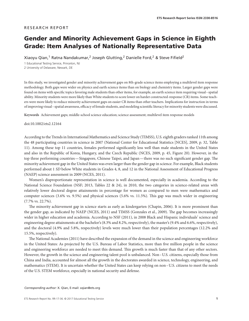#### RESEARCH REPORT

# **Gender and Minority Achievement Gaps in Science in Eighth Grade: Item Analyses of Nationally Representative Data**

Xiaoyu Qian,<sup>1</sup> Ratna Nandakumar,<sup>2</sup> Joseph Glutting,<sup>2</sup> Danielle Ford,<sup>2</sup> & Steve Fifield<sup>2</sup>

1 Educational Testing Service, Princeton, NJ 2 University of Delaware, Newark, DE

In this study, we investigated gender and minority achievement gaps on 8th-grade science items employing a multilevel item response methodology. Both gaps were wider on physics and earth science items than on biology and chemistry items. Larger gender gaps were found on items with specific topics favoring male students than other items, for example, an earth science item requiring visual–spatial ability. Minority students were more likely than White students to score lower on harder constructed-response (CR) items. Some teachers were more likely to reduce minority achievement gaps on easier CR items than other teachers. Implications for instruction in terms of improving visual–spatial awareness, efficacy of female students, and modeling scientific literacy for minority students were discussed.

**Keywords** Achievement gaps; middle-school science education; science assessment; multilevel item response models

#### doi:10.1002/ets2.12164

According to the Trends in International Mathematics and Science Study (TIMSS), U.S. eighth graders ranked 11th among the 48 participating countries in science in 2007 (National Center for Educational Statistics [NCES], 2009, p. 32, Table 11). Among these top 11 countries, females performed significantly less well than male students in the United States and also in the Republic of Korea, Hungary, and the Czech Republic (NCES, 2009, p. 45, Figure 20). However, in the top three performing countries—Singapore, Chinese Taipei, and Japan— there was no such significant gender gap. The minority achievement gap in the United States was even larger than the gender gap in science. For example, Black students performed about 1 *SD* below White students in Grades 4, 8, and 12 in the National Assessment of Educational Progress (NAEP) science assessment in 2009 (NCES, 2011).

Women's disproportionate representation in science is well documented, especially in academia. According to the National Science Foundation (NSF; 2013, Tables 22 & 24), in 2010, the two categories in science-related areas with relatively lower doctoral degree attainments in percentage for women as compared to men were mathematics and computer sciences (3.6% vs. 9.5%) and physical sciences (5.6% vs. 11.5%). This gap was much wider in engineering (7.7% vs. 22.7%).

The minority achievement gap in science starts as early as kindergarten (Chapin, 2006). It is more prominent than the gender gap, as indicated by NAEP (NCES, 2011) and TIMSS (Gonzales et al., 2009). The gap becomes increasingly wider in higher education and academia. According to NSF (2011), in 2008 Black and Hispanic individuals' science and engineering degree attainments at the bachelor's (8.3% and 8.2%, respectively), the master's (9.4% and 6.6%, respectively), and the doctoral (4.9% and 5.8%, respectively) levels were much lower than their population percentages (12.2% and 15.5%, respectively).

The National Academies (2011) have described the expansion of the demand in the science and engineering workforce in the United States: As projected by the U.S. Bureau of Labor Statistics, more than five million people in the science and engineering workforce are needed to meet this demand. This growth is much faster than that of any other sectors. However, the growth in the science and engineering talent pool is unbalanced. Non–U.S. citizens, especially those from China and India, accounted for almost all the growth in the doctorates awarded in science, technology, engineering, and mathematics (STEM). It is uncertain whether the United States can keep relying on non–U.S. citizens to meet the needs of the U.S. STEM workforce, especially in national security and defense.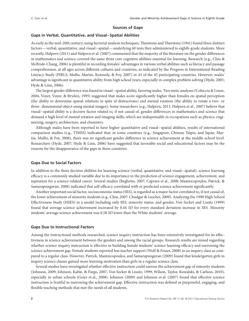#### **Sources of Gaps**

#### **Gaps in Verbal, Quantitative, and Visual–Spatial Abilities**

As early as the mid-20th century, using factorial analysis techniques, Thurstone and Thurstone (1941) found three distinct factors—verbal, quantitative, and visual–spatial—underlying 60 tests they administered to eighth-grade students. More recently, Halpern (2011) and Halpern et al. (2007) commented that the majority of the literature on the gender differences in mathematics and science covered the same three core cognitive abilities essential for learning. Research (e.g., Chiu & McBride-Chang, 2006) is plentiful in recording females' advantages in various verbal abilities such as literacy and passage comprehension, at all ages across different cultures and countries, as indicated by the Progress in International Reading Literacy Study (PIRLS; Mullis, Martin, Kennedy, & Foy, 2007) in 43 of the 45 participating countries. However, males' advantage is significant in quantitative ability from high school years, especially in complex problem solving (Hyde, 2005; Hyde & Linn, 2006).

The largest gender difference was found in visual–spatial ability, favoring males. Two meta-analyses (Coluccia & Louse, 2004; Voyer, Voyer, & Bryden, 1995) suggested that males score significantly higher than females on spatial perception (the ability to determine spatial relations in spite of distractions) and mental rotation (the ability to rotate a two- or three- dimensional object using mental images). Some researchers (e.g., Halpern, 2011; Halpern et al., 2007) believe that visual–spatial ability is a decisive factor related to, if not causal of, gender differences in mathematics and science that demand a high level of mental rotation and imaging skills, which are indispensable in occupations such as physics, engineering, surgery, architecture, and chemistry.

Although males have been reported to have higher quantitative and visual–spatial abilities, results of international comparison studies (e.g., TIMSS) indicated that, in some countries (e.g., Singapore, Chinese Taipei, and Japan; Martin, Mullis, & Foy, 2008), there was no significant gender difference in science achievement at the middle-school level. Researchers (Hyde, 2007; Hyde & Linn, 2006) have suggested that favorable social and educational factors may be the reasons for the disappearance of the gaps in these countries.

#### **Gaps Due to Social Factors**

In addition to the three decisive abilities for learning science (verbal, quantitative, and visual–spatial), science learning efficacy is a commonly studied variable due to its importance in the prediction of science engagement, achievement, and aspiration for a science-related career. Several studies (Beghetto, 2007; Caprara et al., 2008; Mantzicopoulos, Patrick, & Samarapungavan, 2008) indicated that self-efficacy correlated with or predicted science achievement significantly.

Another important social factor, socioeconomic status (SES), is regarded as a major factor correlated to, if not causal of, the lower achievement of minority students (e.g., Chiu, 2007; Chudgar & Luschei, 2009). Analyzing the 1990 High School Effectiveness Study (HSES) in a model including only SES, minority status, and gender, Von Secker and Lissitz (1999) found that average science achievement increased by 0.44 *SD* for every standard deviation increase in SES. Minority students' average science achievement was 0.58 *SD* lower than the White students' average.

#### **Gaps Due to Instructional Factors**

Among the instructional methods researched, science inquiry instruction has been extensively investigated for its effectiveness in science achievement between the genders and among the racial groups. Research results are mixed regarding whether science inquiry instruction is effective in building female students' science learning efficacy and narrowing the science achievement gap. Female students reported less teacher support (Wolf & Fraser, 2008) in an inquiry class as compared to a regular class. However, Patrick, Mantzicopoulos, and Samarapungavan (2009) found that kindergarten girls in inquiry science classes gained more learning motivation than girls in a regular science class.

Several studies have investigated whether effective instruction could narrow the achievement gap of minority students (Johnson, 2009; Johnson, Kahle, & Fargo, 2007; Von Secker & Lissitz, 1999; Wilson, Taylor, Kowalski, & Carlson, 2010), especially in urban schools (Geier et al., 2008). Johnson (2009) and Johnson et al. (2007) found that effective science instruction is fruitful in narrowing the achievement gap. Effective instruction was defined as purposeful, engaging, and flexible teaching methods that met the needs of all students.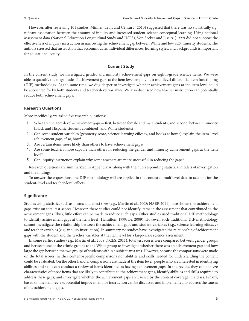However, after reviewing 101 studies, Minner, Levy, and Century (2010) suggested that there was no statistically significant association between the amount of inquiry and increased student science conceptual learning. Using national assessment data (National Education Longitudinal Study and HSES), Von Secker and Lissitz (1999) did not support the effectiveness of inquiry instruction in narrowing the achievement gap between White and low SES minority students. The authors stressed that instruction that accommodates individual differences, learning styles, and backgrounds is important for educational equity.

#### **Current Study**

In the current study, we investigated gender and minority achievement gaps on eighth-grade science items. We were able to quantify the magnitude of achievement gaps at the item level employing a multilevel differential item functioning (DIF) methodology. At the same time, we dug deeper to investigate whether achievement gaps at the item level could be accounted for by both student- and teacher-level variables. We also discussed how teacher instruction can potentially reduce both achievement gaps.

#### **Research Questions**

More specifically, we asked five research questions:

- 1. What are the item-level achievement gaps—first, between female and male students, and second, between minority (Black and Hispanic students combined) and White students?
- 2. Can some student variables (geometry score, science learning efficacy, and books at home) explain the item-level achievement gaps; if so, how?
- 3. Are certain items more likely than others to have achievement gaps?
- 4. Are some teachers more capable than others in reducing the gender and minority achievement gaps at the item level?
- 5. Can inquiry instruction explain why some teachers are more successful in reducing the gaps?

Research questions are summarized in Appendix A, along with their corresponding statistical models of investigation and the findings.

To answer these questions, the DIF methodology will are applied in the context of multilevel data to account for the student-level and teacher-level effects.

#### **Significance**

Studies using statistics such as means and effect sizes (e.g., Martin et al., 2008; NAEP, 2011) have shown that achievement gaps exist on total test scores. However, these studies could not identify items in the assessment that contributed to the achievement gaps. Thus, little effort can be made to reduce such gaps. Other studies used traditional DIF methodology to identify achievement gaps at the item level (Hamilton, 1999; Le, 2009). However, such traditional DIF methodology cannot investigate the relationship between the achievement gaps and student variables (e.g., science learning efficacy) and teacher variables (e.g., inquiry instruction). In summary, no studies have investigated the relationship of achievement gaps with the student and the teacher variables at the item level for a large-scale science assessment.

In some earlier studies (e.g., Martin et al., 2008; NCES, 2011), total test scores were compared between gender groups and between one of the ethnic groups to the White group to investigate whether there was an achievement gap and how large the gap between the two groups of students within a subject area was. However, because the comparisons were made on the total scores, neither content-specific comparisons nor abilities and skills needed for understanding the content could be evaluated. On the other hand, if comparisons are made at the item level, people who are interested in identifying abilities and skills can conduct a review of items identified as having achievement gaps. In the review, they can analyze characteristics of those items that are likely to contribute to the achievement gaps, identify abilities and skills required to address these gaps, and investigate whether the achievement gaps are caused by the content coverage in a class. Finally, based on the item review, potential improvement for instruction can be discussed and implemented to address the causes of the achievement gaps.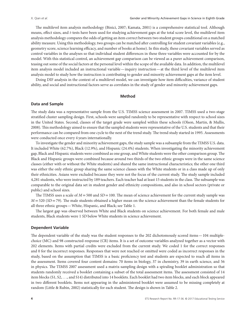The multilevel item analysis methodology (Binici, 2007; Kamata, 2001) is a comprehensive statistical tool. Although means, effect sizes, and *t*-tests have been used for studying achievement gaps at the total score level, the multilevel item analysis methodology compares the odds of getting an item correct between two student groups conditional on a matched ability measure. Using this methodology, two groups can be matched after controlling for student covariant variables (e.g., geometry score, science learning efficacy, and number of books at home). In this study, these covariant variables served as control variables in the analyses so that individual student differences in these three variables were accounted for by the model. With this statistical control, an achievement gap comparison can be viewed as a purer achievement comparison, teasing out some of the social factors at the personal level within the scope of the available data. In addition, the multilevel item analysis model included an instructional variable—inquiry instruction—at the third level of the multilevel item analysis model to study how the instruction is contributing to gender and minority achievement gaps at the item level.

Doing DIF analysis in the context of a multilevel model, we can investigate how item difficulties, variance of student ability, and social and instructional factors serve as correlates in the study of gender and minority achievement gaps.

#### **Method**

#### **Data and Sample**

The study data was a representative sample from the U.S. TIMSS science assessment in 2007. TIMSS used a two-stage stratified cluster sampling design. First, schools were sampled randomly to be representative with respect to school sizes in the United States. Second, classes of the target grade were sampled within these schools (Olson, Martin, & Mullis, 2008). This methodology aimed to ensure that the sampled students were representative of the U.S. students and that their performance can be compared from one cycle to the next of the trend study. The trend study started in 1995. Assessments were conducted once every 4 years internationally.

To investigate the gender and minority achievement gaps, the study sample was a subsample from the TIMSS U.S. data. It included White (62.7%), Black (12.9%), and Hispanic (24.4%) students. When investigating the minority achievement gap, Black and Hispanic students were combined as one group, and White students were the other comparison group. The Black and Hispanic groups were combined because around two thirds of the two ethnic groups were in the same science classes (either with or without the White students) and shared the same instructional characteristics; the other one third was either the only ethnic group sharing the same science classes with the White students or in a class made up of only their ethnicities. Asians were excluded because they were not the focus of the current study. The study sample included 4,281 students, who were instructed by 189 teachers. Each teacher had at least 15 students in the class. The subsample was comparable to the original data set in student gender and ethnicity compositions, and also in school sectors (private or public) and school sizes.

The TIMSS uses a scale of  $M = 500$  and  $SD = 100$ . The mean of science achievement for the current study sample was *M* =520 (*SD* =79). The male students obtained a higher mean on the science achievement than the female students for all three ethnic groups—White, Hispanic, and Black; see Table 1.

The largest gap was observed between White and Black students on science achievement. For both female and male students, Black students were 1 *SD* below White students in science achievement.

#### **Dependent Variable**

The dependent variable of the study was the student responses to the 202 dichotomously scored items—104 multiplechoice (MC) and 98 constructed-response (CR) items. It is a set of outcome variables analyzed together as a vector with 202 elements. Items with partial credits were excluded from the current study. We coded 1 for the correct responses and 0 for the incorrect responses. Responses that were not reached or omitted were coded as incorrect responses in the study, based on the assumption that TIMSS is a basic proficiency test and students are expected to reach all items in the assessment. Items covered four content domains: 70 items in biology, 37 in chemistry, 39 in earth science, and 56 in physics. The TIMSS 2007 assessment used a matrix-sampling design with a spiraling booklet administration so that students randomly received a booklet containing a subset of the total assessment items. The assessment consisted of 14 item blocks (S1, S2, . . ., and S14) distributed into 14 booklets. Each booklet had two item blocks, and each block appeared in two different booklets. Items not appearing in the administered booklet were assumed to be missing completely at random (Little & Rubin, 2002) statistically for each student. The design is shown in Table 2.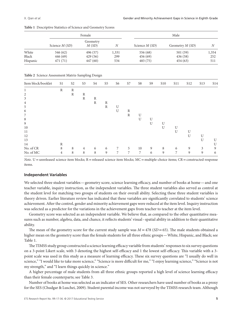|          |                 | Female            |       |                 | Male                            |       |  |  |
|----------|-----------------|-------------------|-------|-----------------|---------------------------------|-------|--|--|
|          | Science $M(SD)$ | Geometry<br>M(SD) | N     | Science $M(SD)$ | Geometry <i>M</i> ( <i>SD</i> ) | Ν     |  |  |
| White    | 546 (62)        | 496 (57)          | 1,331 | 556 (68)        | 501(59)                         | 1,354 |  |  |
| Black    | 446 (69)        | 429(56)           | 299   | 456(69)         | 436 (58)                        | 252   |  |  |
| Hispanic | 471 $(71)$      | 447 (60)          | 534   | 483 (75)        | 454(63)                         | 511   |  |  |

**Table 1** Descriptive Statistics of Science and Geometry Scores

**Table 2** Science Assessment Matrix-Sampling Design

| Item block/booklet | S1             | S <sub>2</sub> | S <sub>3</sub> | S4           | S <sub>5</sub> | S <sub>6</sub> | S7             | S8 | S <sub>9</sub> | S10 | <b>S11</b> | S <sub>12</sub> | S <sub>1</sub> 3 | S14 |
|--------------------|----------------|----------------|----------------|--------------|----------------|----------------|----------------|----|----------------|-----|------------|-----------------|------------------|-----|
| 1                  | $\mathbb{R}$   | $\mathbb{R}$   |                |              |                |                |                |    |                |     |            |                 |                  |     |
| 2                  |                | $\mathbb{R}$   | R              |              |                |                |                |    |                |     |            |                 |                  |     |
| 3                  |                |                | $\mathbb{R}$   | $\mathbb{R}$ |                |                |                |    |                |     |            |                 |                  |     |
| $\overline{4}$     |                |                |                | $\mathbb{R}$ | R              |                |                |    |                |     |            |                 |                  |     |
| 5                  |                |                |                |              | $\mathbb{R}$   | U              |                |    |                |     |            |                 |                  |     |
| 6                  |                |                |                |              |                | U              | $\mathbb R$    |    |                |     |            |                 |                  |     |
| 7                  |                |                |                |              |                |                | $\mathbb{R}$   | U  |                |     |            |                 |                  |     |
| 8                  |                |                |                |              |                |                |                | U  | U              |     |            |                 |                  |     |
| $\overline{9}$     |                |                |                |              |                |                |                |    | U              | U   |            |                 |                  |     |
| 10                 |                |                |                |              |                |                |                |    |                | U   | U          |                 |                  |     |
| 11                 |                |                |                |              |                |                |                |    |                |     | U          | U               |                  |     |
| 12                 |                |                |                |              |                |                |                |    |                |     |            | U               | U                |     |
| 13                 |                |                |                |              |                |                |                |    |                |     |            |                 | U                | U   |
| 14                 | $\mathbb{R}$   |                |                |              |                |                |                |    |                |     |            |                 |                  | U   |
| No. of CR          | 8              | 8              | $\overline{4}$ | 6            | 6              | 7              | 5              | 10 | 9              | 8   | 6          | 9               | 3                | 9   |
| No. of MC          | $\overline{4}$ | 8              | 8              | 8            | 9              | 7              | $\overline{7}$ | 7  | 6              | 9   | 7          | 9               | 9                | 6   |

*Note*. U = unreleased science item blocks; R = released science item blocks; MC = multiple-choice items; CR = constructed-response items.

#### **Independent Variables**

We selected three student variables—geometry score, science learning efficacy, and number of books at home—and one teacher variable, inquiry instruction, as the independent variables. The three student variables also served as control at the student level for matching two groups of students on their overall ability. Selecting these three student variables is theory driven. Earlier literature review has indicated that these variables are significantly correlated to students' science achievement. After the control, gender and minority achievement gaps were reduced at the item level. Inquiry instruction was selected as a predictor for the variations in the achievement gaps from teacher to teacher at the item level.

Geometry score was selected as an independent variable. We believe that, as compared to the other quantitative measures such as number, algebra, data, and chance, it reflects students' visual–spatial ability in addition to their quantitative ability.

The mean of the geometry score for the current study sample was  $M = 478$  ( $SD = 65$ ). The male students obtained a higher mean on the geometry score than the female students for all three ethnic groups—White, Hispanic, and Black; see Table 1.

The TIMSS study group constructed a science learning efficacy variable from students' responses to six survey questions on a 3-point Likert scale, with 3 denoting the highest self-efficacy and 1 the lowest self-efficacy. This variable with a 3 point scale was used in this study as a measure of learning efficacy. These six survey questions are "I usually do well in science," "I would like to take more science," "Science is more difficult for me," "I enjoy learning science," "Science is not my strength," and "I learn things quickly in science."

A higher percentage of male students from all three ethnic groups reported a high level of science learning efficacy than their female counterparts; see Table 3.

Number of books at home was selected as an indicator of SES. Other researchers have used number of books as a proxy for the SES (Chudgar & Luschei, 2009). Student parental income was not surveyed by the TIMSS research team. Although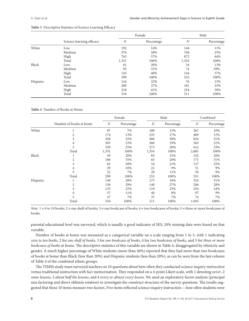|          |                           |                 | Female | Male             |            |  |
|----------|---------------------------|-----------------|--------|------------------|------------|--|
|          | Science learning efficacy | N<br>Percentage |        | $\boldsymbol{N}$ | Percentage |  |
| White    | Low                       | 192             | 14%    | 144              | 11%        |  |
|          | Medium                    | 376             | 28%    | 338              | 25%        |  |
|          | High                      | 763             | 57%    | 872              | 64%        |  |
|          | Total                     | 1,331           | 100%   | 1,354            | 100%       |  |
| Black    | Low                       | 61              | 20%    | 34               | 13%        |  |
|          | Medium                    | 93              | 31%    | 74               | 29%        |  |
|          | High                      | 145             | 48%    | 144              | 57%        |  |
|          | Total                     | 299             | 100%   | 252              | 100%       |  |
| Hispanic | Low                       | 116             | 22%    | 76               | 15%        |  |
|          | Medium                    | 200             | 37%    | 181              | 35%        |  |
|          | High                      | 218             | 41%    | 254              | 50%        |  |
|          | Total                     | 534             | 100%   | 511              | 100%       |  |

**Table 3** Descriptive Statistics of Science Learning Efficacy

**Table 4** Number of Books at Home

|          |                         |                  | Female     |       | Male       | Combined |            |
|----------|-------------------------|------------------|------------|-------|------------|----------|------------|
|          | Number of books at home | $\boldsymbol{N}$ | Percentage | N     | Percentage | N        | Percentage |
| White    | Ŧ.                      | 87               | 7%         | 180   | 13%        | 267      | 10%        |
|          | 2                       | 174              | 13%        | 235   | 17%        | 409      | 15%        |
|          | 3                       | 428              | 32%        | 406   | 30%        | 834      | 31%        |
|          | 4                       | 303              | 23%        | 260   | 19%        | 563      | 21%        |
|          | 5                       | 339              | 25%        | 273   | 20%        | 612      | 23%        |
|          | Total                   | 1,331            | 100%       | 1,354 | 100%       | 2,685    | 100%       |
| Black    | ı                       | 59               | 20%        | 83    | 33%        | 142      | 26%        |
|          | 2                       | 106              | 35%        | 65    | 26%        | 171      | 31%        |
|          | 3                       | 83               | 28%        | 54    | 21%        | 137      | 25%        |
|          | 4                       | 29               | 10%        | 22    | 9%         | 51       | 9%         |
|          | 5                       | 22               | 7%         | 28    | 11%        | 50       | 9%         |
|          | Total                   | 299              | 100%       | 252   | 100%       | 551      | 100%       |
| Hispanic | T                       | 149              | 28%        | 175   | 34%        | 324      | 31%        |
|          | 2                       | 156              | 29%        | 140   | 27%        | 296      | 28%        |
|          | 3                       | 135              | 25%        | 119   | 23%        | 254      | 24%        |
|          | 4                       | 57               | 11%        | 40    | 8%         | 97       | 9%         |
|          | 5                       | 37               | 7%         | 37    | 7%         | 74       | 7%         |
|          | Total                   | 534              | 100%       | 511   | 100%       | 1,045    | 100%       |

*Note.*  $1 = 0$  to 10 books;  $2 =$  one shelf of books;  $3 =$  one bookcase of books;  $4 =$  two bookcases of books;  $5 =$  three or more bookcases of books.

parental educational level was surveyed, which is usually a good indicator of SES, 20% missing data were found on that variable.

Number of books at home was measured as a categorical variable on a scale ranging from 1 to 5, with 1 indicating *zero to ten books*, 2 for *one shelf of books*, 3 for *one bookcase of books*, 4 for *two bookcases of books*, and 5 for *three or more bookcases of books* at home. The descriptive statistics of this variable are shown in Table 4, disaggregated by ethnicity and gender. A much higher percentage of White students (more than 40%) reported that they had more than two bookcases of books at home than Black (less than 20%) and Hispanic students (less than 20%), as can be seen from the last column of Table 4 of the combined ethnic groups.

The TIMSS study team surveyed teachers on 10 questions about how often they conducted science inquiry instruction versus traditional instruction with fact memorization. They responded on a 4-point Likert scale, with 1 denoting *never*, 2 *some lessons*, 3 *about half the lessons*, and 4 *every or almost every lesson*. We used an exploratory factor analysis (principal axis factoring and direct oblimin rotation) to investigate the construct structure of the survey questions. The results suggested that these 10 items measure two factors. Five items reflected science inquiry instruction—how often students were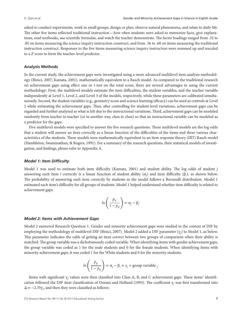asked to conduct experiments, work in small groups, design or plan, observe natural phenomena, and relate to daily life. The other five items reflected traditional instruction—how often students were asked to memorize facts, give explanations, read textbooks, use scientific formulas, and watch the teacher demonstrate. The factor loadings ranged from .32 to .85 on items measuring the science inquiry instruction construct, and from .36 to .60 on items measuring the traditional instruction construct. Responses to the five items measuring science inquiry instruction were summed up and rescaled to a *Z* score to form the teacher-level predictor.

#### **Analysis Methods**

In the current study, the achievement gaps were investigated using a more advanced multilevel item analysis methodology (Binici, 2007; Kamata, 2001), mathematically equivalent to a Rasch model. As compared to the traditional research on achievement gaps using effect size or *t*-test on the total score, there are several advantages to using the current methodology: First, the multilevel models estimate the item difficulties, the student variables, and the teacher variable independently at Level 1, Level 2, and Level 3 of the models, respectively, while these parameters are calibrated simultaneously. Second, the student variables (e.g., geometry score and science learning efficacy) can be used as controls at Level 2 while estimating the achievement gaps. Thus, after controlling for student-level variations, achievement gaps can be regarded and further analyzed as what is left due to the instructional variations. Third, achievement gaps can be modeled randomly from teacher to teacher (or in another way, class to class) so that an instructional variable can be modeled as a predictor for the gaps.

Five multilevel models were specified to answer the five research questions. These multilevel models are the log odds that a student will answer an item correctly as a linear function of the difficulties of the items and three various characteristics of the students. These models were mathematically equivalent to an item response theory (IRT) Rasch model (Hambleton, Swaminathan, & Rogers, 1991). For a summary of the research questions, their statistical models of investigation, and findings, please refer to Appendix A.

#### *Model 1: Item Difficulty*

Model 1 was used to estimate both item difficulty (Kamata, 2001) and student ability. The log odds of student *j* answering each item *i* correctly is a linear function of student ability (α*<sup>j</sup>* ) and item difficulty (β*<sup>i</sup>* ), as shown below. The probability of answering each item correctly by students in the model follows a Bernoulli distribution. Model 1 estimated each item's difficulty for all groups of students. Model 1 helped understand whether item difficulty is related to achievement gaps.

$$
ln\left(\frac{p_{ij}}{1-p_{ij}}\right) = \alpha_j - \beta_i
$$

#### *Model 2: Items with Achievement Gaps*

Model 2 answered Research Question 1. Gender and minority achievement gaps were studied in the context of DIF by employing the methodology of multilevel DIF (Binici, 2007). Model 2 added a DIF parameter (γ*<sup>j</sup>* ) to Model 1, as below. This parameter indicates the odds of getting an item correct between two groups of comparison when their ability is matched. The group variable was a dichotomously coded variable. When identifying items with gender achievement gaps, the group variable was coded as 1 for the male students and 0 for the female students. When identifying items with minority achievement gaps, it was coded 1 for the White students and 0 for the minority students.

$$
ln\left(\frac{p_{ij}}{1-p_{ij}}\right) = \alpha_j - \beta_i + \gamma_i * group variable_j.
$$

Items with significant γ*<sup>j</sup>* values were then classified into Class A, B, and C achievement gaps. These items' identification followed the DIF item classification of Dorans and Holland (1993). The coefficient  $\gamma_i$  was first transformed into  $\Delta = -2.35\gamma_i$ , and then they were classified as follows: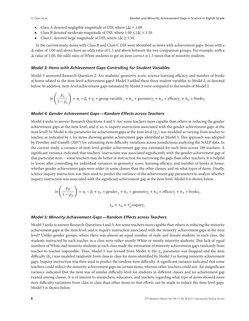- Class A denoted negligible magnitude of DIF, where <sup>|</sup>Δ|*<*1.00
- Class B denoted moderate magnitude of DIF, where 1.00≤|Δ|*<*1.50
- Class C denoted large magnitude of DIF, where  $|\Delta| \ge 1.50$ .

In the current study, items with Class B and Class C DIF were identified as items with achievement gaps. Items with a Δ value of 1.00 and above have an odds ratio of 1.5 and above between the two comparison groups. For example, with a Δ value of 1.00, the odds ratio of White students to get an item correct is 1.5 times that of minority students.

#### *Model 3: Items with Achievement Gaps Controlling for Student Variables*

Model 3 answered Research Question 2: Are students' geometry score, science learning efficacy, and number of books at home related to the item-level achievement gaps? Model 3 added these three student variables to Model 2, as denoted below. In addition, item-level achievement gaps estimated by Model 3 were compared to the results of Model 2.

$$
ln\left(\frac{p_{ij}}{1-p_{ij}}\right) = \alpha_j - \beta_i + \gamma_i * group variable_j + \pi_{1i} * geometry_j + \pi_{2i} * efficacy_j + \pi_{3i} * books_j
$$

#### *Model 4: Gender Achievement Gaps—Random Effects across Teachers*

Model 4 seeks to answer Research Questions 4 and 5: Are some teachers more capable than others in reducing the gender achievement gaps at the item level, and if so, is inquiry instruction associated with the gender achievement gaps at the item level? In Model 4, the parameter for achievement gaps at the item level  $(\gamma_{it})$  was modeled as varying from teacher to teacher, as indicated by *t*, for items showing gender achievement gaps identified in Model 3. This approach was adopted by Prowker and Camilli (2007) for estimating item difficulty variations across jurisdictions analyzing the NAEP data. In the current study, a variance of item-level gender achievement gap was estimated for each item across 189 teachers. A significant variance indicated that teachers' instruction was associated significantly with the gender achievement gap of that particular item—some teachers may do better in instruction for narrowing the gaps than other teachers. It is helpful to know, after controlling for individual variances in geometry score, learning efficacy, and number of books at home, whether gender achievement gaps were wider in some classes than the other classes, and on what types of items. Finally, science inquiry instruction was then used to predict the variance of the achievement gap parameters to analyze whether inquiry instruction was associated with the significant achievement gap at the item level. Model 4 is shown below.

$$
ln\left(\frac{p_{ijt}}{1-p_{ijt}}\right) = \alpha_j - \beta_i + \gamma_{it} * gender_j + \pi_{1i} * geometry_j + \pi_{2i} * efficacy_j + \pi_{3i} * books_j,
$$

 $\gamma_{it} = \tau_{0i} + \tau_{1i}^{*}$ inquiry<sub>t</sub>·

#### *Model 5: Minority Achievement Gaps—Random Effects across Teachers*

Model 5 seeks to answer Research Questions 4 and 5: Are some teachers more capable than others in reducing the minority achievement gaps at the item level, and is inquiry instruction associated with the minority achievement gaps at the item level? Unlike gender groups, where there was almost an equal number of male and female students in each class, the students instructed by each teacher in a class were either mostly White or mostly minority students. This lack of equal numbers of White and minority students in each class made the estimation of minority achievement gaps randomly from teacher to teacher impossible. Thus, Model 5 was revised from Model 4; the  $\gamma_{it}$  parameter was dropped and the item difficulty (β*it*) was modeled randomly from class to class for items identified by Model 3 as having minority achievement gaps. Inquiry instruction was then used to predict the random item difficulty. A significant variance indicated that some teachers could reduce the minority achievement gaps on certain items, whereas other teachers could not. An insignificant variance indicated that the item was of similar difficulty level for students in different classes and no achievement gap existed among classes. It is of interest to researchers, educators, and teachers regarding what type of items showed more item difficulty variations from class to class than other items so that efforts can be made to reduce the item-level gaps. Model 5 is shown below.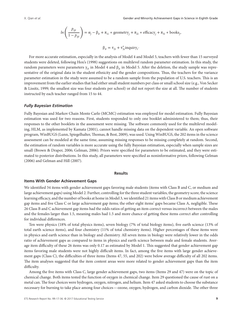$$
ln\left(\frac{p_{ijt}}{1-p_{ijt}}\right) = \alpha_j - \beta_{it} + \pi_{1i} * geometry_j + \pi_{2i} * efficiency_j + \pi_{3i} * books_j,
$$

$$
\beta_{it} = \tau_{2i} + \tau_{3i}^* inquiry_t
$$

For more accurate estimation, especially in the analysis of Model 4 and Model 5, teachers with fewer than 15 surveyed students were deleted, following Hox's (1998) suggestions on multilevel random parameter estimation. In this study, the random parameters were parameters γ<sub>*it*</sub> in Model 4 and  $β_{it}$  in Model 5. After the deletion, the study sample was representative of the original data in the student ethnicity and the gender compositions. Thus, the teachers for the variance parameter estimation in the study were assumed to be a random sample from the population of U.S. teachers. This is an improvement from the earlier studies that had either small student numbers per class or small school size (e.g., Von Secker & Lissitz, 1999; the smallest size was four students per school) or did not report the size at all. The number of students instructed by each teacher ranged from 15 to 44.

#### *Fully Bayesian Estimation*

Fully Bayesian and Markov Chain Monte Carlo (MCMC) estimation was employed for model estimation. Fully Bayesian estimation was used for two reasons. First, students responded to only one booklet administered to them; thus, their responses to the other booklets in the assessment were missing. The software commonly used for the multilevel modeling, HLM, as implemented by Kamata (2001), cannot handle missing data on the dependent variable. An open software program, WinBUGS (Lunn, Spiegelhalter, Thomas, & Best, 2009), was used. Using WinBUGS, the 202 items in the science assessment can be modeled at the same time, assuming missing responses to be missing completely at random. Second, the estimation of random variables is more accurate using the fully Bayesian estimation, especially when sample sizes are small (Brown & Draper, 2006; Gelman, 2006). Priors were specified for parameters to be estimated, and they were estimated to posterior distributions. In this study, all parameters were specified as noninformative priors, following Gelman (2006) and Gelman and Hill (2007).

#### **Results**

#### **Items With Gender Achievement Gaps**

We identified 34 items with gender achievement gaps favoring male students (items with Class B and C, or medium and large achievement gaps) using Model 2. Further, controlling for the three student variables, the geometry score, the science learning efficacy, and the number of books at home in Model 3, we identified 21 items with Class B or medium achievement gap items and five Class C or large achievement gap items; the other eight items' gaps became Class A, negligible. These 26 Class B and C achievement gap items had the odds ratios of getting an item correct versus incorrect between the males and the females larger than 1.5, meaning males had 1.5 and more chance of getting these items correct after controlling for individual differences.

Ten were physics (18% of total physics items), seven biology (7% of total biology items), five earth science (13% of total earth science items), and four chemistry (11% of total chemistry items). Higher percentages of these items were in physics and earth science than in biology and chemistry. All seven items in biology were relatively lower in the odds ratio of achievement gaps as compared to items in physics and earth science between male and female students. Average item difficulty of these 26 items was only 0.17 as estimated by Model 1. This suggested that gender achievement gap items favoring male students were not highly difficult items. In fact, among the five items with large gender achievement gaps (Class C), the difficulties of three items (Items 47, 55, and 202) were below average difficulty of all 202 items. The item analyses suggested that the item content areas were more related to gender achievement gaps than the item difficulty.

Among the five items with Class C, large gender achievement gaps, two items (Items 29 and 47) were on the topic of chemical change. Both items tested the function of oxygen in chemical change. Item 29 questioned the cause of rust on a metal can. The four choices were hydrogen, oxygen, nitrogen, and helium. Item 47 asked students to choose the substance necessary for burning to take place among four choices—ozone, oxygen, hydrogen, and carbon dioxide. The other three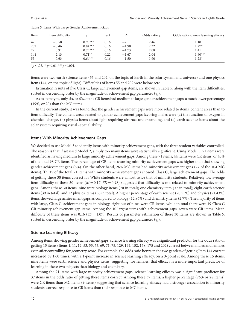| Item | Item difficulty |           | SD   |         | Odds ratio $\gamma_i$ | Odds ratio science learning efficacy |
|------|-----------------|-----------|------|---------|-----------------------|--------------------------------------|
| 47   | $-0.50$         | $0.90***$ | 0.16 | $-2.11$ | 2.46                  | 1.10                                 |
| 202  | $-0.46$         | $0.84***$ | 0.16 | $-1.98$ | 2.32                  | $1.27*$                              |
| 29   | 0.91            | $0.73***$ | 0.16 | $-1.73$ | 2.08                  | 1.41                                 |
| 144  | 2.13            | $0.71**$  | 0.22 | $-1.67$ | 2.04                  | $1.60***$                            |
| 55   | $-0.63$         | $0.64***$ | 0.16 | $-1.50$ | 1.90                  | $1.28*$                              |

**Table 5** Items With Large Gender Achievement Gaps

\**p*≤.05, \*\**p*≤.01, \*\*\**p*≤.001.

items were two earth science items (55 and 202, on the topic of Earth in the solar system and universe) and one physics item (144, on the topic of light). Difficulties of Items 55 and 202 were below zero.

Estimation results of five Class C, large achievement gap items, are shown in Table 5, along with the item difficulties, sorted in descending order by the magnitude of achievement gap parameter  $(\gamma_i)$ .

As to item type, only six, or 6%, of the CR items had medium to large gender achievement gaps, a much lower percentage (19%, or 20) than the MC items.

In the current study, it was found that the gender achievement gaps were more related to items' content areas than to item difficulty. The content areas related to gender achievement gaps favoring males were (a) the function of oxygen in chemical change, (b) physics items about light requiring abstract understanding, and (c) earth science items about the solar system requiring visual–spatial ability.

#### **Items With Minority Achievement Gaps**

We decided to use Model 3 to identify items with minority achievement gaps, with the three student variables controlled. The reason is that if we used Model 2, simply too many items were statistically significant. Using Model 3, 71 items were identified as having medium to large minority achievement gaps. Among these 71 items, 44 items were CR items, or 45% of the total 98 CR items. The percentage of CR items showing minority achievement gaps was higher than that showing gender achievement gaps (6%). On the other hand, 26% MC items had minority achievement gaps (27 of the 104 MC items). Thirty of the total 71 items with minority achievement gaps showed Class C, large achievement gaps. The odds of getting these 30 items correct for White students were almost twice that of minority students. Relatively low average item difficulty of these 30 items  $(M = 0.17, SD = 0.98)$  suggested that difficulty is not related to minority achievement gaps. Among these 30 items, nine were biology items (70 in total); one chemistry item (37 in total); eight earth science items (39 in total); and 12 physics items (56 in total). A higher percentage of earth science (20.51%) and physics (21.43%) items showed large achievement gaps as compared to biology (12.86%) and chemistry items (2.7%). The majority of items with large, Class C, achievement gaps in biology, eight out of nine, were CR items, while in total there were 19 Class C CR minority achievement gap items. Among the 10 largest items with achievement gaps, seven were CR items. Mean difficulty of these items was  $0.16$  ( $SD = 1.07$ ). Results of parameter estimation of these 30 items are shown in Table 6, sorted in descending order by the magnitude of achievement gap parameter  $(\gamma_i)$ .

#### **Science Learning Efficacy**

Among items showing gender achievement gaps, science learning efficacy was a significant predictor for the odds ratio of getting 15 items (Items 1, 11, 12, 53, 55, 63, 69, 71, 75, 129, 144, 152, 168, 175 and 202) correct between males and females even after controlling for geometry score. For example, the odds ratio between the two genders of getting Item 144 correct increased by 1.60 times, with a 1-point increase in science learning efficacy, on a 3-point scale. Among these 15 items, nine items were earth science and physics items, suggesting, for females, that efficacy is a more important predictor of learning in these two subjects than biology and chemistry.

Among the 71 items with large minority achievement gaps, science learning efficacy was a significant predictor for 37 items in the odds ratio of getting these items correct. Among these 37 items, a higher percentage (76% or 28 items) were CR items than MC items (9 items) suggesting that science learning efficacy had a stronger association to minority students' correct response to CR items than their response to MC items.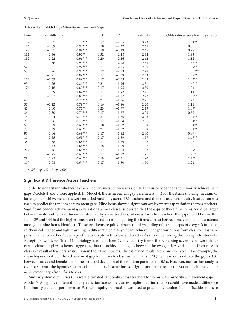| Item         | Item difficulty | $\gamma_i$ | SD <sub></sub> | Δ       | Odds ratio $\gamma_i$ | Odds ratio science learning efficacy |
|--------------|-----------------|------------|----------------|---------|-----------------------|--------------------------------------|
| 197          | 0.37            | $1.17***$  | 0.17           | $-2.75$ | 3.23                  | $1.34**$                             |
| 186          | $-1.09$         | $0.99***$  | 0.18           | $-2.32$ | 2.68                  | 0.86                                 |
| 198          | $-1.37$         | $0.98***$  | 0.19           | $-2.29$ | 2.65                  | 0.97                                 |
| 151          | 2.56            | $0.97**$   | 0.32           | $-2.28$ | 2.64                  | 1.33                                 |
| 182          | 1.22            | $0.96***$  | 0.20           | $-2.26$ | 2.62                  | 1.12                                 |
| $\mathbf{1}$ | 0.36            | $0.93***$  | 0.17           | $-2.18$ | 2.53                  | $1.37**$                             |
| 52           | 0.21            | $0.92***$  | 0.17           | $-2.15$ | 2.50                  | $1.39**$                             |
| 53           | 0.76            | $0.91***$  | 0.19           | $-2.13$ | 2.48                  | $1.50***$                            |
| 110          | $-0.91$         | $0.89***$  | 0.17           | $-2.09$ | 2.43                  | $1.39**$                             |
| 172          | $-0.69$         | $0.89***$  | 0.17           | $-2.09$ | 2.43                  | $1.43**$                             |
| 95           | 1.26            | $0.84***$  | 0.21           | $-1.96$ | 2.31                  | $1.60***$                            |
| 174          | 0.16            | $0.83***$  | 0.17           | $-1.95$ | 2.30                  | 1.04                                 |
| 15           | $-0.59$         | $0.82***$  | 0.17           | $-1.92$ | 2.26                  | 1.14                                 |
| 196          | $-0.57$         | $0.80***$  | 0.17           | $-1.87$ | 2.22                  | $1.38**$                             |
| 6            | 1.61            | $0.79***$  | 0.22           | $-1.86$ | 2.21                  | 1.22                                 |
| 57           | $-0.12$         | $0.79***$  | 0.16           | $-1.86$ | 2.20                  | 1.11                                 |
| 45           | 2.00            | $0.75***$  | 0.25           | $-1.77$ | 2.13                  | $1.47*$                              |
| 34           | $-0.30$         | $0.71***$  | 0.17           | $-1.67$ | 2.03                  | 0.82                                 |
| 14           | $-1.74$         | $0.71***$  | 0.21           | $-1.66$ | 2.02                  | $1.41**$                             |
| 72           | 0.06            | $0.70***$  | 0.17           | $-1.64$ | 2.01                  | $1.34**$                             |
| 5            | 0.69            | $0.69***$  | 0.18           | $-1.62$ | 1.99                  | $1.34**$                             |
| 73           | 1.39            | $0.69**$   | 0.21           | $-1.62$ | 1.99                  | $1.51**$                             |
| 91           | 0.06            | $0.69***$  | 0.17           | $-1.62$ | 2.00                  | 0.99                                 |
| 11           | $-0.55$         | $0.68***$  | 0.17           | $-1.59$ | 1.97                  | $1.47***$                            |
| 38           | $-0.38$         | $0.68***$  | 0.17           | $-1.59$ | 1.97                  | 1.08                                 |
| 193          | 0.43            | $0.68***$  | 0.18           | $-1.59$ | 1.97                  | 1.22                                 |
| 202          | $-0.46$         | $0.65***$  | 0.17           | $-1.54$ | 1.92                  | $1.29*$                              |
| 12           | $-0.25$         | $0.64***$  | 0.17           | $-1.52$ | 1.91                  | $1.26*$                              |
| 78           | 0.95            | $0.64***$  | 0.19           | $-1.51$ | 1.90                  | $1.25*$                              |
| 117          | 0.08            | $0.64***$  | 0.17           | $-1.50$ | 1.90                  | 1.21                                 |

|  |  |  |  |  |  |  | Table 6 Items With Large Minority Achievement Gaps |  |
|--|--|--|--|--|--|--|----------------------------------------------------|--|
|--|--|--|--|--|--|--|----------------------------------------------------|--|

\**p*≤.05, \*\**p*≤.01, \*\*\**p*≤.001.

#### **Significant Difference Across Teachers**

In order to understand whether teachers' inquiry instruction was a significant source of gender and minority achievement gaps, Models 4 and 5 were applied. In Model 4, the achievement gap parameters  $(\gamma_{it})$  for the items showing medium or large gender achievement gaps were modeled randomly across 189 teachers, and then the teacher's inquiry instruction was used to predict the random achievement gaps. Nine items showed significant achievement gap variations across teachers. Significant gender achievement gap variations across classes suggested that the gaps of these nine items could be larger between male and female students instructed by some teachers, whereas for other teachers the gaps could be smaller. Items 29 and 144 had the highest mean on the odds ratio of getting the items correct between male and female students among the nine items identified. These two items required abstract understanding of the concepts of oxygen's function in chemical change and light traveling in different media. Significant achievement gap variations from class to class were possibly due to teachers' coverage of the concepts in the class and teachers' skills in delivering the concepts to students. Except for two items (Item 11, a biology item, and Item 29, a chemistry item), the remaining seven items were either earth science or physics items, suggesting that the achievement gaps between the two genders varied a lot from class to class as a result of teachers' instruction in these two subjects. The estimated results are shown in Table 7. For example, the mean log odds ratio of the achievement gap from class to class for Item 29 is 1.20 (the mean odds ratio of the gap is 3.32 between males and females), and the standard deviation of the random parameter is 0.36. However, our further analysis did not support the hypothesis that science inquiry instruction is a significant predictor for the variations in the gender achievement gaps from class to class.

Similarly, item difficulties (β*it*) were estimated randomly across teachers for items with minority achievement gaps in Model 5. A significant item difficulty variation across the classes implies that instruction could have made a difference in minority students' performance. Further, inquiry instruction was used to predict the random item difficulties of these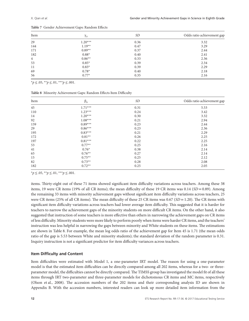| Item           | $\gamma_{it}$ | <i>SD</i> | Odds ratio achievement gap |
|----------------|---------------|-----------|----------------------------|
| 29             | $1.20***$     | 0.36      | 3.32                       |
| 144            | $1.19**$      | 0.47      | 3.29                       |
| 171            | $0.89**$      | 0.37      | 2.44                       |
| 182            | $0.88*$       | 0.40      | 2.41                       |
| $\overline{4}$ | $0.86**$      | 0.33      | 2.36                       |
| 53             | $0.85*$       | 0.39      | 2.34                       |
| 11             | $0.83*$       | 0.39      | 2.29                       |
| 69             | $0.78*$       | 0.40      | 2.18                       |
| 56             | $0.77*$       | 0.35      | 2.16                       |

**Table 7** Gender Achievement Gaps: Random Effects

\**p*≤.05, \*\**p*≤.01, \*\*\**p*≤.001.

**Table 8** Minority Achievement Gaps: Random Effects Item Difficulty

| Item | $\beta_{it}$ | SD   | Odds ratio achievement gap |
|------|--------------|------|----------------------------|
| 45   | $1.71***$    | 0.31 | 5.53                       |
| 110  | $1.23***$    | 0.24 | 3.42                       |
| 14   | $1.20***$    | 0.30 | 3.32                       |
| 92   | $1.08***$    | 0.21 | 2.94                       |
| 159  | $0.89***$    | 0.23 | 2.44                       |
| 29   | $0.86***$    | 0.23 | 2.36                       |
| 195  | $0.83***$    | 0.21 | 2.29                       |
| 172  | $0.81**$     | 0.26 | 2.25                       |
| 197  | $0.81***$    | 0.22 | 2.25                       |
| 53   | $0.77**$     | 0.25 | 2.16                       |
| 41   | $0.76*$      | 0.38 | 2.14                       |
| 65   | $0.76**$     | 0.27 | 2.14                       |
| 15   | $0.75**$     | 0.25 | 2.12                       |
| 82   | $0.73**$     | 0.28 | 2.08                       |
| 182  | $0.72**$     | 0.25 | 2.05                       |

\**p*≤.05, \*\**p*≤.01, \*\*\**p*≤.001.

items. Thirty-eight out of these 71 items showed significant item difficulty variations across teachers. Among these 38 items, 19 were CR items (19% of all CR items); the mean difficulty of these 19 CR items was  $0.14$  (*SD* = 0.89). Among the remaining 33 items with minority achievement gaps without significant item difficulty variations across teachers, 25 were CR items (25% of all CR items). The mean difficulty of these 25 CR items was 0.67 (*SD* = 1.20). The CR items with significant item difficulty variations across teachers had lower average item difficulty. This suggested that it is harder for teachers to narrow the achievement gaps of the minority students on more difficult CR items. On the other hand, it also suggested that instruction of some teachers is more effective than others in narrowing the achievement gaps on CR items of less difficulty. Minority students were more likely to perform poorly when items were harder CR items, and the teachers' instruction was less helpful in narrowing the gaps between minority and White students on these items. The estimations are shown in Table 8. For example, the mean log odds ratio of the achievement gap for Item 45 is 1.71 (the mean odds ratio of the gap is 5.53 between White and minority students); the standard deviation of the random parameter is 0.31. Inquiry instruction is not a significant predictor for item difficulty variances across teachers.

#### **Item Difficulty and Content**

Item difficulties were estimated with Model 1, a one-parameter IRT model. The reason for using a one-parameter model is that the estimated item difficulties can be directly compared among all 202 items, whereas for a two- or threeparameter model, the difficulties cannot be directly compared. The TIMSS group has investigated the model fit of all these items through IRT two-parameter and three-parameter models for dichotomous CR items and MC items, respectively (Olson et al., 2008). The accession numbers of the 202 items and their corresponding analysis ID are shown in Appendix B. With the accession numbers, interested readers can look up more detailed item information from the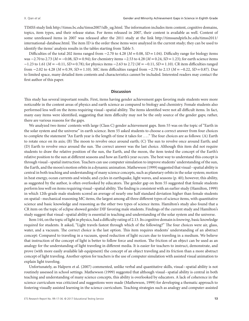TIMSS study link [http://timss.bc.edu/timss2007/idb\\_ug.html.](http://timss.bc.edu/timss2007/idb_ug.html) The information includes item content, cognitive domains, topics, item types, and their release status. For items released in 2007, their content is available as well. Content of some unreleased items in 2007 was released after the 2011 study at the link [http://timssandpirls.bc.edu/timss2011/](http://timssandpirls.bc.edu/timss2011/international-database.html) [international-database.html.](http://timssandpirls.bc.edu/timss2011/international-database.html) The item ID is the order these items were analyzed in the current study; they can be used to identify the items' analysis results in the tables starting from Table 5.

Difficulties of the total 202 items ranged from −2.70 to 4.28 ( $M = 0.08$ , SD = 1.04). Difficulty range for biology items was −2.70 to 2.73 (*M* = −0.08, *SD* =0.94); for chemistry items −2.53 to 4.28 (*M* =0.24, *SD* =1.23); for earth science items −1.23 to 1.61 (*M* = −0.11, *SD* =0.78); for physics items −2.63 to 2.72 (*M* = −0.11, *SD* =1.10). CR item difficulties ranged from −2.02 to 4.28 (*M* =0.39, *SD* =1.10). MC item difficulties ranged from −2.70 to 2.13 (*M* = −0.22, *SD* =0.87). Due to limited space, many detailed item contents and characteristics cannot be included. Interested readers may contact the first author of this paper.

#### **Discussion**

This study has several important results. First, items having gender achievement gaps favoring male students were more noticeable in the content areas of physics and earth science as compared to biology and chemistry. Female students also performed less well on the items requiring visual–spatial ability. The items identified were not all difficult items. In fact, many easy items were identified, suggesting that item difficulty may not be the only source of the gender gaps; rather, there are various reasons for the gaps.

We analyzed two items' contents with large (Class C) gender achievement gaps. Item 55 was on the topic of "Earth in the solar system and the universe" in earth science. Item 55 asked students to choose a correct answer from four choices to complete the statement "An Earth year is the length of time it takes for . . . ." The four choices are as follows: (A) Earth to rotate once on its axis; (B) The moon to revolve once around earth; (C) The sun to revolve once around Earth; and (D) Earth to revolve once around the sun. The correct answer was the last choice. Although this item did not require students to draw the relative position of the sun, the Earth, and the moon, the item tested the concept of the Earth's relative position to the sun at different seasons and how an Earth's year occurs. The best way to understand this concept is through visual–spatial instruction. Teachers can use computer simulation to improve students' understanding of the sun, the Earth, and the moon's motion orbits in a dynamic animation. Mathewson (1999) suggested that visual–spatial ability is central in both teaching and understanding of many science concepts, such as planetary orbits in the solar system; motion in heat energy, ocean currents and winds; and cycles in earthquake, light waves, and seasons (p. 40); however, this ability, as suggested by the author, is often overlooked by educators. The gender gap on Item 55 suggested that female students perform less well on items requiring visual–spatial ability. The finding is consistent with an earlier study (Hamilton, 1999) in which 12th-grade male students scored an average of nearly one half standard deviation higher than female students on spatial–mechanical reasoning MC items, the largest among all three different types of science items, with quantitative science and basic knowledge and reasoning as the other two types of science items. Hamilton's study also found that a CR item on the topic of eclipse showed gender DIF favoring male students. Findings of the current study and Hamilton's study suggest that visual–spatial ability is essential in teaching and understanding of the solar system and the universe.

Item 144, on the topic of light in physics, had a difficulty rating of 2.13. Its cognitive domain is *knowing*, basic knowledge required for students. It asked, "Light travels fastest through which of the following?" The four choices were air, glass, water, and a vacuum. The correct choice is the last option. This item requires students' understanding of an abstract concept: Compared to traveling in a vacuum, speed reduction of light occurs due to traveling in a medium. We believe that instruction of the concept of light is better to follow force and motion. The friction of an object can be used as an analogy for the understanding of light traveling in different media. It is easier for teachers to instruct, demonstrate, and prove (with more easily available lab equipment) the concept of an object traveling and its friction than a more abstract concept of light traveling. Another option for teachers is the use of computer simulation with assisted visual animation to explain light traveling.

Unfortunately, as Halpern et al. (2007) commented, unlike verbal and quantitative skills, visual–spatial ability is not routinely assessed in school settings. Mathewson (1999) suggested that although visual–spatial ability is central in both teaching and understanding of many science concepts, this ability is overlooked by educators. A lack of coherence in the science curriculum was criticized and suggestions were made (Mathewson, 1999) for developing a thematic approach to fostering visually assisted learning in the science curriculum. Teaching strategies such as analogy and computer-assisted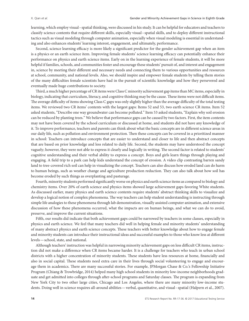learning, which employ visual–spatial thinking, were discussed in his study. It can be helpful for educators and teachers to classify science contents that require different skills, especially visual–spatial skills, and to deploy different instructional tactics such as visual modeling through computer animation, especially when visual modeling is essential in understanding and also enhances students' learning interest, engagement, and ultimately, performance.

Second, science learning efficacy is more likely a significant predictor for the gender achievement gap when an item is a physics or an earth science item. Improving female students' science learning efficacy can potentially enhance their performance on physics and earth science items. Early on in the learning experience of female students, it will be more helpful if families, schools, and communities foster and encourage these students' pursuit of, and interest and engagement in, science by meeting their different and necessary needs and connecting them to various opportunities and resources at school, community, and national levels. Also, we should inspire and empower female students by telling them stories of the many difficulties female scientists have had in the pursuit of scientific knowledge and how they persevered and eventually made huge contributions to society.

Third, a much higher percentage of CR items were Class C minority achievement gap items than MC items, especially in biology, indicating that curriculum, literacy, and cognitive thinking may be the cause. These items were not difficult items. The average difficulty of items showing Class C gaps was only slightly higher than the average difficulty of the total testing items. We reviewed two CR items' contents with the largest gaps: Items 52 and 53, two earth science CR items. Item 52 asked students, "Describe one way groundwater can become polluted." Item 53 asked students, "Explain why soil erosion can be reduced by planting trees." We believe that performance gaps can be caused by two factors. First, the item contents may not have been covered by the school curriculum or discussed at home, and students did not have any knowledge of it. To improve performance, teachers and parents can think about what the basic concepts are in different science areas in our daily life, such as pollution and environment protection. Then these concepts can be covered in a prioritized manner in school: Teachers can introduce concepts that are easier to understand and closer to life and then abstract concepts that are based on prior knowledge and less related to daily life. Second, the students may have understood the concept vaguely; however, they were not able to express it clearly and logically in writing. The second factor is related to students' cognitive understanding and their verbal ability to express a concept. Boys and girls learn things through playing and engaging. A field trip to a park can help kids understand the concept of erosion. A video clip contrasting barren sandy land to tree-covered rich soil can help in visualizing the concept. Teachers can also discuss how eroded land can do harm to human beings, such as weather change and agriculture production reduction. They can also talk about how soil has become eroded by such things as overplanting and pasturage.

Fourth, minority students performed significantly worse on physics and earth science items as compared to biology and chemistry items. Over 20% of earth science and physics items showed large achievement gaps favoring White students. As discussed earlier, many physics and earth science contents require students' abstract thinking skills to visualize and develop a logical notion of complex phenomena. The way teachers can help student understanding is instructing through simple life analogies to these phenomena through lab demonstration, visually assisted computer animation, and extensive discussion of how these phenomena occurred, what the impacts are on human beings, and what we can do to avoid, preserve, and improve the current situations.

Fifth, our results did indicate that both achievement gaps could be narrowed by teachers in some classes, especially in physics and earth science. We feel that many teachers did well in helping female and minority students' understanding of many abstract physics and earth science concepts. These teachers with better knowledge about how to engage female and minority students can introduce their instructional ideas and successful examples to those who know less at different levels—school, state, and national.

Although teachers' instruction was helpful in narrowing minority achievement gaps on less difficult CR items, instruction did not make a difference when CR items became harder. It is a challenge for teachers who teach in urban school districts with a higher concentration of minority students. These students have less resources at home, financially and also in social capital. These students need extra care in their lives through social volunteering to engage and encourage them in academics. There are many successful stories. For example, JPMorgan Chase & Co.'s Fellowship Initiative Program (Chiang & Trowbridge, 2014) helped many high school students in minority low-income neighborhoods graduate and get admitted into colleges through after-school programs and Saturday classes. The program is expanding from New York City to two other large cities, Chicago and Los Angeles, where there are many minority low-income students. Doing well in science requires all-around abilities—verbal, quantitative, and visual–spatial (Halpern et al., 2007).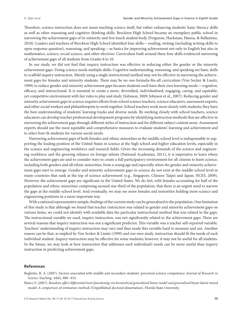Therefore, science instruction does not mean teaching science itself, but rather enhancing students' basic literacy skills as well as other reasoning and cognitive thinking skills. Brockton High School became an exemplary public school in narrowing the achievement gaps of its minority and free lunch student body (Ferguson, Hackman, Hanna, & Ballantine, 2010). Leaders and teachers of Brockton High School identified four skills—reading, writing (including writing skills to open response question), reasoning, and speaking—as basics for improving achievement not only in English but also in mathematics, science, social science, and other electives. Curriculum built around these four skills evidenced narrowing of achievement gaps of all students from Grades 8 to 10.

In our study, we did not find that inquiry instruction was effective in reducing either the gender or the minority achievement gaps. Doing science needs multiple skills: Cognitive understanding, reasoning, and speaking are basic skills to scaffold inquiry instruction. Merely using a single instructional method may not be effective in narrowing the achievement gaps for females and minority students. There may be no one-formula-fits-all curriculum (Von Secker & Lissitz, 1999) to reduce gender and minority achievement gaps because students each have their own learning needs—cognitive, efficacy, and instructional. It is essential to create a more, diversified, individualized, engaging, caring, and equitable, yet competitive environment with fair rules to play and study (Johnson, 2009; Johnson et al., 2007). Reducing gender and minority achievement gaps in science requires efforts from school science teachers, science educators, assessment experts, and other social workers and philanthropists to work together. School teachers work most closely with students; they have the best understanding of students' learning tracks and diverse needs. By working closely with school teachers, science educators can develop teacher professional development programs by identifying instruction methods that are effective in narrowing the achievement gaps through different styles of instruction and for different subject content areas. Assessment experts should use the most equitable and comprehensive measures to evaluate students' learning and achievement and to select best-fit students for various social needs.

Narrowing achievement gaps of both females and ethnic minorities at the middle-school level is indispensable to supporting the leading position of the United States in science at the high school and higher education levels, especially in the science and engineering workforce and research fields. Given the increasing demands of the science and engineering workforce and the growing reliance on foreign talents (National Academies, 2011), it is imperative to learn where the achievement gaps are and to consider ways to create a full participatory environment for all citizens to learn science, including both genders and all ethnic minorities, from a young age and especially when the gender and minority achievement gaps start to emerge. Gender and minority achievement gaps in science do not exist at the middle-school level in many countries that rank at the top of science achievement (e.g., Singapore, Chinese Taipei and Japan; NCES, 2009). However, the achievement gaps are significant in the United States. We do feel, with females accounting for half of the population and ethnic minorities comprising around one third of the population, that there is an urgent need to narrow the gaps at the middle-school level. And eventually, we may see more females and minorities holding more science and engineering positions in a more important way.

With a national representative sample, findings of the current study can be generalized to the population. One limitation of this study is that although we found that teacher instruction was related to gender and minority achievement gaps on various items, we could not identify with available data the particular instructional method that was related to the gaps. The instructional variable we used, inquiry instruction, was not significantly related to the achievement gaps. There are several reasons that inquiry instruction was not a significant predictor. This variable was a teacher self-reported variable. Teachers' understanding of inquiry instruction may vary and thus made this variable hard to measure and use. Another reason can be that, as implied by Von Secker & Lissitz (1999) and our own study, instruction should fit the needs of each individual student. Inquiry instruction may be effective for some students; however, it may not be useful for all students. In the future, we may look at how instruction that addresses each individual's needs can be more useful than inquiry instruction in predicting achievement gaps.

#### **References**

Beghetto, R. A. (2007). Factors associated with middle and secondary students' perceived science competence. *Journal of Research in Science Teaching*, *44*(6), 800–814.

Binici, S. (2007). *Random-effect differential item functioning via hierarchical generalized linear model and generalized linear latent mixed model: A comparison of estimation methods* (Unpublished doctoral dissertation). Florida State University.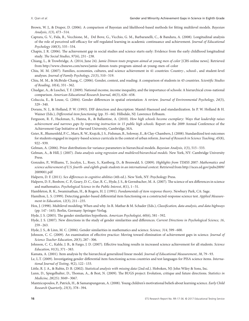- Brown, W. J., & Draper, D. (2006). A comparison of Bayesian and likelihood-based methods for fitting multilevel models. *Bayesian Analysis*, *1*(3), 473–514.
- Caprara, G. V., Fida, R., Vecchione, M., Del Bove, G., Vicchio, G. M., Barbaranelli, C., & Bandura, A. (2008). Longitudinal analysis of the role of perceived self-efficacy for self-regulated learning in academic continuance and achievement. *Journal of Educational Psychology 100*(3), 535–534.
- Chapin, J. R. (2006). The achievement gap in social studies and science starts early: Evidence from the early childhood longitudinal study. *The Social Studies*, *97*(6), 231–238.
- Chiang, L., & Trowbridge, A. (2014, June 24). *Jamie Dimon touts program aimed at young men of color* [CBS online news]. Retrieved from<http://www.cbsnews.com/news/jamie-dimon-touts-program-aimed-at-young-men-of-color>
- Chiu, M. M. (2007). Families, economies, cultures, and science achievement in 41 countries: Country-, school-, and student-level analyses. *Journal of Family Psychology, 21*(3), 510–519.
- Chiu, M. M., & McBride-Chang, C. (2006). Gender, context, and reading: A comparison of students in 43 countries. *Scientific Studies of Reading, 10*(4), 331–362.
- Chudgar, A., & Luschei, T. F. (2009). National income, income inequality, and the importance of schools: A hierarchical cross-national comparison. *American Educational Research Journal*, *46*(3), 626–658.
- Coluccia, E., & Louse, G. (2004). Gender differences in spatial orientation: A review. *Journal of Environmental Psychology, 24*(3), 329–340.
- Dorans, N. J., & Holland, P. W. (1993). DIF detection and description: Mantel-Haenszel and standardization. In P. W. Holland & H. Wainer (Eds.), *Differential item functioning* (pp. 35–66). Hillsdale, NJ: Lawrence Erlbaum.
- Ferguson, R. F., Hackman, S., Hanna, R., & Ballantine, A. (2010). *How high schools become exemplary: Ways that leadership raises achievement and narrows gaps by improving instruction in 15 public high schools.* Report on the 2009 Annual Conference of the Achievement Gap Initiative at Harvard University, Cambridge, MA.
- Geier, R., Blumenfeld, P. C., Marx, R. W., Krajcik, J. S., Fishman, B., Soloway, E., & Clay-Chambers, J. (2008). Standardized test outcomes for students engaged in inquiry-based science curricula in the context of urban reform. *Journal of Research in Science Teaching*, *45*(8), 922–939.
- Gelman, A. (2006). Prior distributions for variance parameters in hierarchical models. *Bayesian Analysis*, *1*(3), 515–533.
- Gelman, A., & Hill, J. (2007). *Data analysis using regression and multilevel/hierarchical models.* New York, NY: Cambridge University Press.
- Gonzales, P., Williams, T., Jocelyn, L., Roey, S., Kastberg, D., & Brenwald, S. (2009). *Highlights from TIMSS 2007: Mathematics and science achievement of U.S. fourth- and eighth-grade students in an international context.* Retrieved from [http://nces.ed.gov/pubs2009/](http://nces.ed.gov/pubs2009/2009001.pdf) [2009001.pdf](http://nces.ed.gov/pubs2009/2009001.pdf)
- Halpern, D. F. (2011). *Sex differences in cognitive abilities* (4th ed.). New York, NY: Psychology Press.
- Halpern, D. F., Benbow, C. P., Geary, D. C., Gur, R. C., Hyde, J. S., & Gernsbacher, M. A. (2007). The science of sex differences in science and mathematics. *Psychological Science in the Public Interest*, *8*(1), 1–51.
- Hambleton, R. K., Swaminathan, H., & Rogers, H. J. (1991). *Fundamentals of item response theory*. Newbury Park, CA: Sage.
- Hamilton, L. S. (1999). Detecting gender-based differential item functioning on a constructed-response science test. *Applied Measurement in Education, 12*(3), 211–235.
- Hox, J. (1998). Multilevel modeling: When and why. In R. Mathar & M. Schader (Eds.), *Classification, data analysis, and data highways* (pp. 147–165). Berlin, Germany: Springer-Verlag.
- Hyde, J. S. (2005). The gender similarities hypothesis. *American Psychologist, 60*(6), 581–592.
- Hyde, J. S. (2007). New directions in the study of gender similarities and differences. *Current Directions in Psychological Science, 16*, 259–263.
- Hyde, J. S., & Linn, M. C. (2006). Gender similarities in mathematics and science. *Science, 314*, 599–600.
- Johnson, C. C. (2009). An examination of effective practice: Moving toward elimination of achievement gaps in science. *Journal of Science Teacher Education*, *20*(3), 287–306.
- Johnson, C. C., Kahle, J. B., & Fargo, J. D. (2007). Effective teaching results in increased science achievement for all students. *Science Education*, *91*(3), 371–383.
- Kamata, A. (2001). Item analysis by the hierarchical generalized linear model. *Journal of Educational Measurement*, *38*, 79–93.
- Le, L.T. (2009). Investigating gender differential item functioning across countries and test languages for PISA science items. *International Journal of Testing, 9*(2), 122–133.
- Little, R. J. A., & Rubin, D. B. (2002). *Statistical analysis with missing data* (2nd ed.). Hoboken, NJ: John Wiley & Sons, Inc.
- Lunn, D., Spiegelhalter, D., Thomas, A., & Best, N. (2009). The BUGS project: Evolution, critique and future directions. *Statistics in Medicine, 28*(25): 3049–3067.
- Mantzicopoulos, P., Patrick, H., & Samarapungavan, A. (2008). Young children's motivational beliefs about learning science. *Early Child Research Quarterly, 23*(3), 378–394.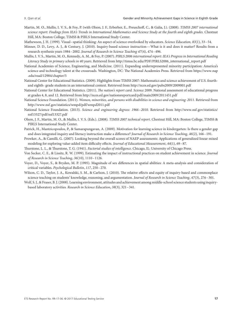- Martin, M. O., Mullis, I. V. S., & Foy, P. (with Olson, J. F., Erberber, E., Preuschoff, C., & Galia, J.). (2008). *TIMSS 2007 international science report: Findings from IEA's Trends in International Mathematics and Science Study at the fourth and eighth grades.* Chestnut Hill, MA: Boston College, TIMSS & PIRLS International Study Center.
- Mathewson, J. H. (1999). Visual–spatial thinking: An aspect of science overlooked by educators. *Science Education, 83*(1), 33–54.

Minner, D. D., Levy, A. J., & Century, J. (2010). Inquiry-based science instruction—What is it and does it matter? Results from a research synthesis years 1984–2002. *Journal of Research in Science Teaching 47*(4), 474–496.

- Mullis, I. V. S., Martin, M. O., Kennedy, A. M., & Foy, P. (2007). *PIRLS 2006 international report: IEA's Progress in International Reading Literacy Study in primary schools in 40 years*. Retrieved from [http://timss.bc.edu/PDF/PIRLS2006\\_international\\_report.pdf](http://timss.bc.edu/PDF/PIRLS2006_international_report.pdf)
- National Academies of Science, Engineering, and Medicine. (2011). Expanding underrepresented minority participation: America's science and technology talent at the crossroads*.* Washington, DC: The National Academies Press. Retrieved from [https://www.nap](https://www.nap.edu/read/12984/chapter/5) [.edu/read/12984/chapter/5](https://www.nap.edu/read/12984/chapter/5)
- National Center for Educational Statistics. (2009). Highlights from TIMSS 2007: Mathematics and science achievement of U.S. fourthand eighth- grade students in an international context. Retrieved from<http://nces.ed.gov/pubs2009/2009001.pdf>
- National Center for Educational Statistics. (2011). *The nation's report card. Science* 2009*.* National assessment of educational progress at grades 4, 8, and 12. Retrieved from<http://nces.ed.gov/nationsreportcard/pdf/main2009/2011451.pdf>
- National Science Foundation. (2011). *Women, minorities, and persons with disabilities in science and engineering: 2011*. Retrieved from <http://www.nsf.gov/statistics/wmpd/pdf/wmpd2011.pdf>
- National Science Foundation. (2013). *Science and engineering degrees: 1966–2010*. Retrieved from [http://www.nsf.gov/statistics/](http://www.nsf.gov/statistics/nsf13327/pdf/nsf13327.pdf) [nsf13327/pdf/nsf13327.pdf](http://www.nsf.gov/statistics/nsf13327/pdf/nsf13327.pdf)
- Olson, J. F., Martin, M. O., & Mullis, I. V. S. (Eds.). (2008). *TIMSS 2007 technical report*. Chestnut Hill, MA: Boston College, TIMSS & PIRLS International Study Center.
- Patrick, H., Mantzicopoulos, P., & Samarapungavan, A. (2009). Motivation for learning science in kindergarten: Is there a gender gap and does integrated inquiry and literacy instruction make a difference? *Journal of Research in Science Teaching, 46*(2), 166–191.
- Prowker, A., & Camilli, G. (2007). Looking beyond the overall scores of NAEP assessments: Applications of generalized linear mixed modeling for exploring value-added item difficulty effects. *Journal of Educational Measurement*, *44*(1), 69–87.
- Thurstone, L. L., & Thurstone, T. G. (1941). *Factorial studies of intelligence*. Chicago, IL: University of Chicago Press.
- Von Secker, C. E., & Lissitz, R. W. (1999). Estimating the impact of instructional practices on student achievement in science. *Journal of Research in Science Teaching*, *36*(10), 1110–1126.
- Voyer, D., Voyer, S., & Bryden, M. P. (1995). Magnitude of sex differences in spatial abilities: A meta-analysis and consideration of critical variables. *Psychological Bulletin*, *117*, 250–270.
- Wilson, C. D., Taylor, J. A., Kowalski, S. M., & Carlson, J. (2010). The relative effects and equity of inquiry-based and commonplace science teaching on students' knowledge, reasoning, and argumentation. *Journal of Research in Science Teaching*, *47*(3), 276–301.
- Wolf, S. J., & Fraser, B. J. (2008). Learning environment, attitudes and achievement among middle-school science students using inquirybased laboratory activities. *Research in Science Education*, *38*(3), 321–341.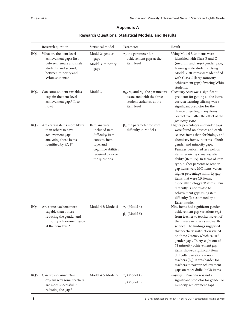## **Appendix A**

|                 | Research question                                                                                                                                  | Statistical model                                                                                                                             | Parameter                                                                                                                       | Result                                                                                                                                                                                                                                                                                                                                                                                                                                                                                                                                                                                   |
|-----------------|----------------------------------------------------------------------------------------------------------------------------------------------------|-----------------------------------------------------------------------------------------------------------------------------------------------|---------------------------------------------------------------------------------------------------------------------------------|------------------------------------------------------------------------------------------------------------------------------------------------------------------------------------------------------------------------------------------------------------------------------------------------------------------------------------------------------------------------------------------------------------------------------------------------------------------------------------------------------------------------------------------------------------------------------------------|
| RQ1             | What are the item-level<br>achievement gaps: first,<br>between female and male<br>students; and second,<br>between minority and<br>White students? | Model 2: gender<br>gaps<br>Model 3: minority<br>gaps                                                                                          | $\gamma_i$ , the parameter for<br>achievement gaps at the<br>item level                                                         | Using Model 3, 34 items were<br>identified with Class B and C<br>(medium and large) gender gaps,<br>favoring male students. Using<br>Model 3, 30 items were identified<br>with Class C (large minority<br>achievement gaps) favoring White<br>students.                                                                                                                                                                                                                                                                                                                                  |
| RQ <sub>2</sub> | Can some student variables<br>explain the item-level<br>achievement gaps? If so,<br>how?                                                           | Model 3                                                                                                                                       | $\pi_{1i}$ , $\pi_{2i}$ and $\pi_{3i}$ , the parameters<br>associated with the three<br>student variables, at the<br>item level | Geometry score was a significant<br>predictor for getting all the items<br>correct; learning efficacy was a<br>significant predictor for the<br>chance of getting many items<br>correct even after the effect of the<br>geometry score.                                                                                                                                                                                                                                                                                                                                                  |
| RQ3             | Are certain items more likely<br>than others to have<br>achievement gaps<br>analyzing those items<br>identified by RQ1?                            | Item analyses<br>included item<br>difficulty, item<br>content, item<br>type, and<br>cognitive abilities<br>required to solve<br>the questions | $\beta_i$ , the parameter for item<br>difficulty in Model 1                                                                     | Higher percentages and wider gaps<br>were found on physics and earth<br>science items than for biology and<br>chemistry items, in terms of both<br>gender and minority gaps.<br>Females performed less well on<br>items requiring visual-spatial<br>ability (Item 55). In terms of item<br>type, higher percentage gender<br>gap items were MC items, versus<br>higher percentage minority gap<br>items that were CR items,<br>especially biology CR items. Item<br>difficulty is not related to<br>achievement gaps using item<br>difficulty $(\beta_i)$ estimated by a<br>Rasch model. |
| RQ4             | Are some teachers more<br>capable than others<br>reducing the gender and<br>minority achievement gaps<br>at the item level?                        | Model 4 & Model 5                                                                                                                             | $\gamma_{it}$ (Model 4)<br>$\beta_{it}$ (Model 5)                                                                               | Nine items had significant gender<br>achievement gap variations ( $\gamma_{it}$ )<br>from teacher to teacher; seven of<br>them were in physics and earth<br>science. The findings suggested<br>that teachers' instruction varied<br>on these 7 items, which caused<br>gender gaps. Thirty-eight out of<br>71 minority achievement gap<br>items showed significant item<br>difficulty variations across<br>teachers ( $\beta_{it}$ ). It was harder for<br>teachers to narrow achievement<br>gaps on more difficult CR items.                                                             |
| RQ5             | Can inquiry instruction<br>explain why some teachers<br>are more successful in<br>reducing the gaps?                                               | Model 4 & Model 5                                                                                                                             | $\tau_1$ (Model 4)<br>$\tau$ <sub>2</sub> (Model 5)                                                                             | Inquiry instruction was not a<br>significant predictor for gender or<br>minority achievement gaps.                                                                                                                                                                                                                                                                                                                                                                                                                                                                                       |

### **Research Questions, Statistical Models, and Results**